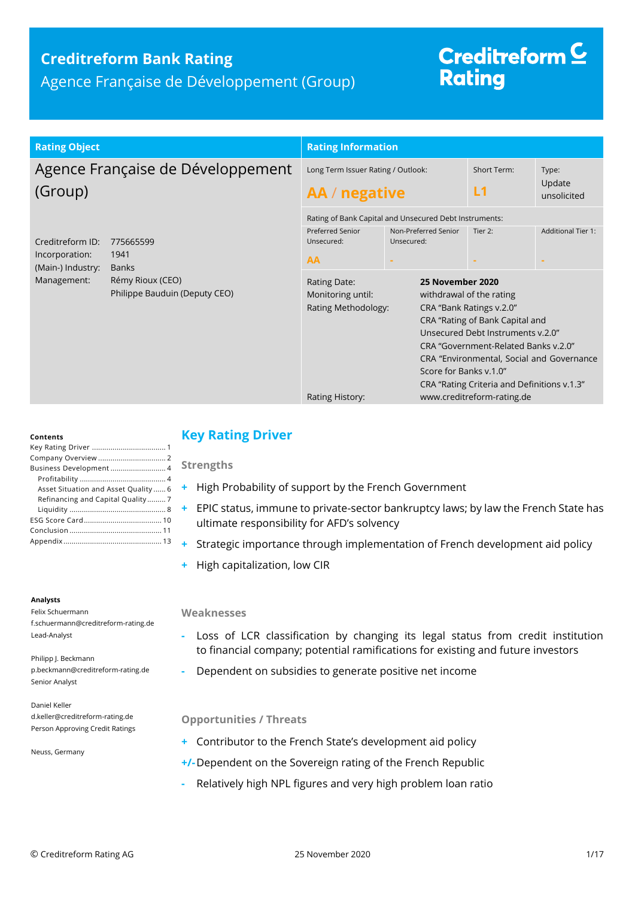### **Creditreform Bank Rating**

Agence Française de Développement (Group)

# Creditreform<sup>C</sup> **Rating**

| <b>Rating Object</b>                                                                                                                                             | <b>Rating Information</b>                                                                                                  |                                                                                                                                            |                                                                                                                                                                                                                                                                                                           |                                |  |
|------------------------------------------------------------------------------------------------------------------------------------------------------------------|----------------------------------------------------------------------------------------------------------------------------|--------------------------------------------------------------------------------------------------------------------------------------------|-----------------------------------------------------------------------------------------------------------------------------------------------------------------------------------------------------------------------------------------------------------------------------------------------------------|--------------------------------|--|
| Agence Française de Développement<br>(Group)                                                                                                                     | Long Term Issuer Rating / Outlook:<br>AA / negative                                                                        |                                                                                                                                            | Short Term:<br>L1                                                                                                                                                                                                                                                                                         | Type:<br>Update<br>unsolicited |  |
| Creditreform ID:<br>775665599<br>Incorporation:<br>1941<br>(Main-) Industry:<br><b>Banks</b><br>Management:<br>Rémy Rioux (CEO)<br>Philippe Bauduin (Deputy CEO) | <b>Preferred Senior</b><br>Unsecured:<br>AA<br>Rating Date:<br>Monitoring until:<br>Rating Methodology:<br>Rating History: | Rating of Bank Capital and Unsecured Debt Instruments:<br>Non-Preferred Senior<br>Unsecured:<br>25 November 2020<br>Score for Banks v.1.0" | Tier 2:<br>withdrawal of the rating<br>CRA "Bank Ratings v.2.0"<br>CRA "Rating of Bank Capital and<br>Unsecured Debt Instruments v.2.0"<br>CRA "Government-Related Banks v.2.0"<br>CRA "Environmental, Social and Governance<br>CRA "Rating Criteria and Definitions v.1.3"<br>www.creditreform-rating.de | <b>Additional Tier 1:</b>      |  |

#### **Contents**

| Business Development 4              |
|-------------------------------------|
|                                     |
| Asset Situation and Asset Quality 6 |
| Refinancing and Capital Quality7    |
|                                     |
|                                     |
|                                     |
|                                     |

#### **Analysts**

Felix Schuermann f.schuermann@creditreform-rating.de Lead-Analyst

Philipp J. Beckmann p.beckmann@creditreform-rating.de Senior Analyst

Daniel Keller d.keller@creditreform-rating.de Person Approving Credit Ratings

Neuss, Germany

### <span id="page-0-0"></span>**Key Rating Driver**

**Strengths**

- **+** High Probability of support by the French Government
- **+** EPIC status, immune to private-sector bankruptcy laws; by law the French State has ultimate responsibility for AFD's solvency
- **+** Strategic importance through implementation of French development aid policy
- **+** High capitalization, low CIR

#### **Weaknesses**

- **-** Loss of LCR classification by changing its legal status from credit institution to financial company; potential ramifications for existing and future investors
- **-** Dependent on subsidies to generate positive net income

### **Opportunities / Threats**

- **+** Contributor to the French State's development aid policy
- **+/-**Dependent on the Sovereign rating of the French Republic
- <span id="page-0-1"></span>**-** Relatively high NPL figures and very high problem loan ratio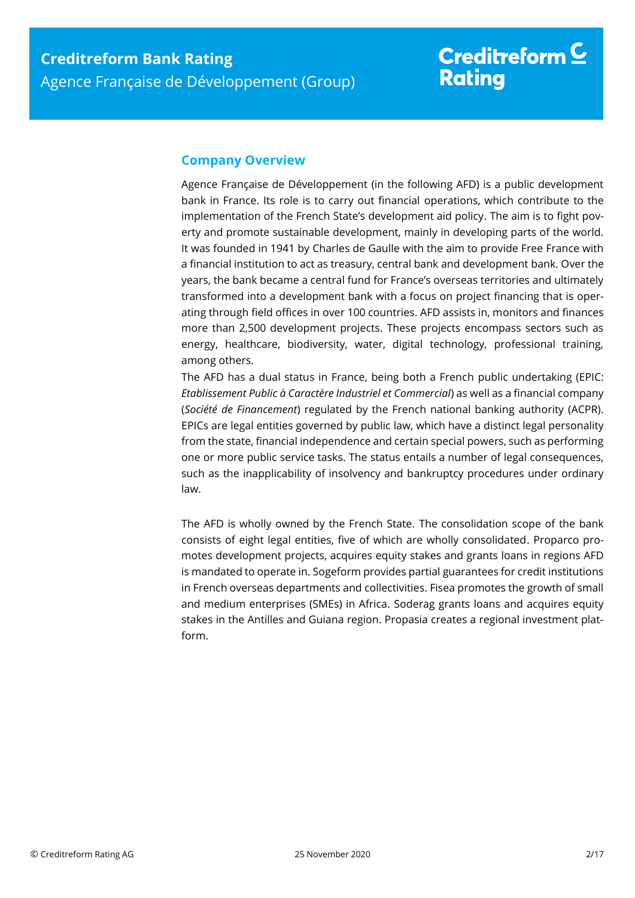### **Company Overview**

Agence Française de Développement (in the following AFD) is a public development bank in France. Its role is to carry out financial operations, which contribute to the implementation of the French State's development aid policy. The aim is to fight poverty and promote sustainable development, mainly in developing parts of the world. It was founded in 1941 by Charles de Gaulle with the aim to provide Free France with a financial institution to act as treasury, central bank and development bank. Over the years, the bank became a central fund for France's overseas territories and ultimately transformed into a development bank with a focus on project financing that is operating through field offices in over 100 countries. AFD assists in, monitors and finances more than 2,500 development projects. These projects encompass sectors such as energy, healthcare, biodiversity, water, digital technology, professional training, among others.

The AFD has a dual status in France, being both a French public undertaking (EPIC: *Etablissement Public à Caractère Industriel et Commercial*) as well as a financial company (*Société de Financement*) regulated by the French national banking authority (ACPR). EPICs are legal entities governed by public law, which have a distinct legal personality from the state, financial independence and certain special powers, such as performing one or more public service tasks. The status entails a number of legal consequences, such as the inapplicability of insolvency and bankruptcy procedures under ordinary law.

The AFD is wholly owned by the French State. The consolidation scope of the bank consists of eight legal entities, five of which are wholly consolidated. Proparco promotes development projects, acquires equity stakes and grants loans in regions AFD is mandated to operate in. Sogeform provides partial guarantees for credit institutions in French overseas departments and collectivities. Fisea promotes the growth of small and medium enterprises (SMEs) in Africa. Soderag grants loans and acquires equity stakes in the Antilles and Guiana region. Propasia creates a regional investment platform.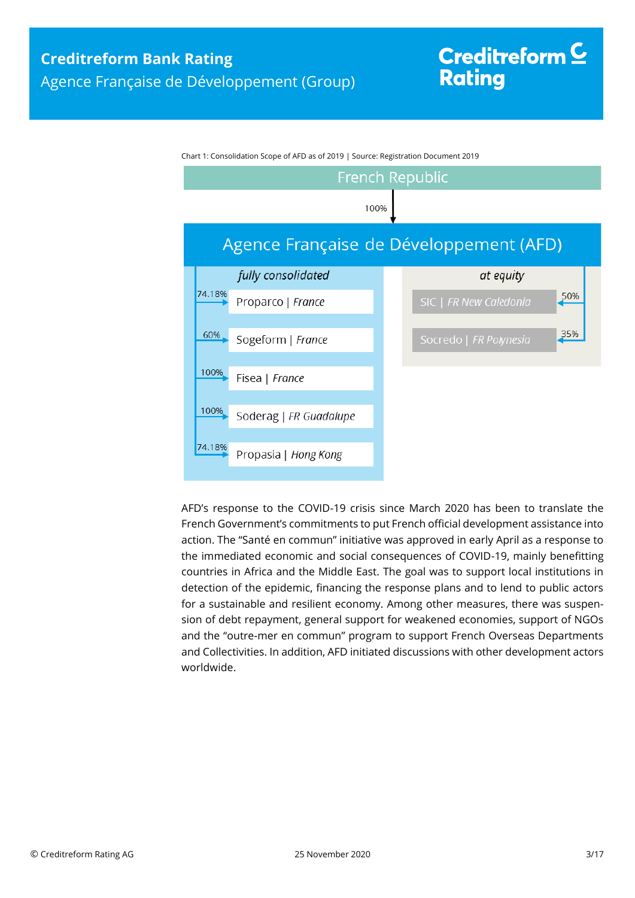

Chart 1: Consolidation Scope of AFD as of 2019 | Source: Registration Document 2019

AFD's response to the COVID-19 crisis since March 2020 has been to translate the French Government's commitments to put French official development assistance into action. The "Santé en commun" initiative was approved in early April as a response to the immediated economic and social consequences of COVID-19, mainly benefitting countries in Africa and the Middle East. The goal was to support local institutions in detection of the epidemic, financing the response plans and to lend to public actors for a sustainable and resilient economy. Among other measures, there was suspension of debt repayment, general support for weakened economies, support of NGOs and the "outre-mer en commun" program to support French Overseas Departments and Collectivities. In addition, AFD initiated discussions with other development actors worldwide.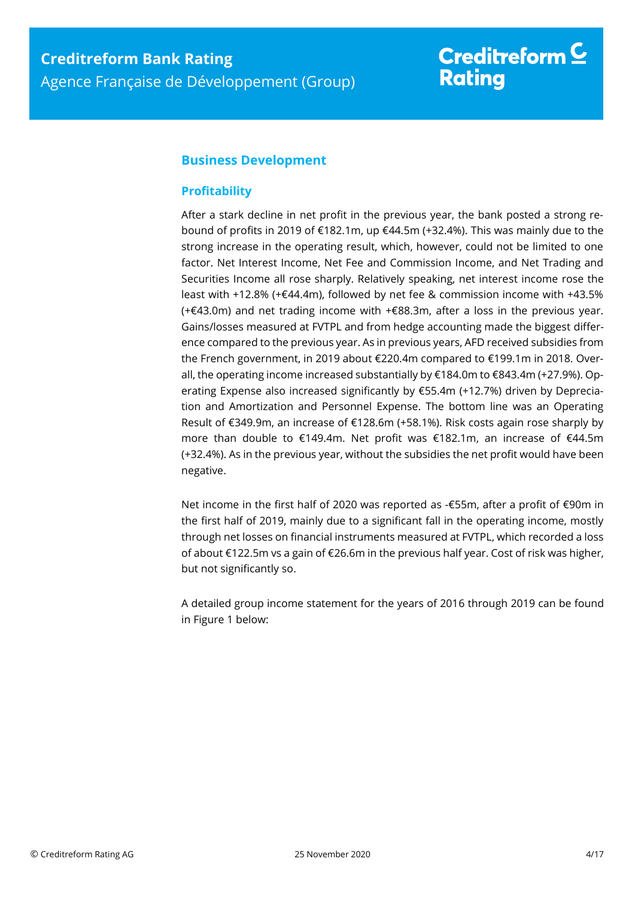### <span id="page-3-0"></span>**Business Development**

### <span id="page-3-1"></span>**Profitability**

After a stark decline in net profit in the previous year, the bank posted a strong rebound of profits in 2019 of €182.1m, up €44.5m (+32.4%). This was mainly due to the strong increase in the operating result, which, however, could not be limited to one factor. Net Interest Income, Net Fee and Commission Income, and Net Trading and Securities Income all rose sharply. Relatively speaking, net interest income rose the least with +12.8% (+€44.4m), followed by net fee & commission income with +43.5% (+€43.0m) and net trading income with +€88.3m, after a loss in the previous year. Gains/losses measured at FVTPL and from hedge accounting made the biggest difference compared to the previous year. As in previous years, AFD received subsidies from the French government, in 2019 about €220.4m compared to €199.1m in 2018. Overall, the operating income increased substantially by €184.0m to €843.4m (+27.9%). Operating Expense also increased significantly by €55.4m (+12.7%) driven by Depreciation and Amortization and Personnel Expense. The bottom line was an Operating Result of €349.9m, an increase of €128.6m (+58.1%). Risk costs again rose sharply by more than double to €149.4m. Net profit was €182.1m, an increase of €44.5m (+32.4%). As in the previous year, without the subsidies the net profit would have been negative.

Net income in the first half of 2020 was reported as -€55m, after a profit of €90m in the first half of 2019, mainly due to a significant fall in the operating income, mostly through net losses on financial instruments measured at FVTPL, which recorded a loss of about €122.5m vs a gain of €26.6m in the previous half year. Cost of risk was higher, but not significantly so.

A detailed group income statement for the years of 2016 through 2019 can be found in Figure 1 below: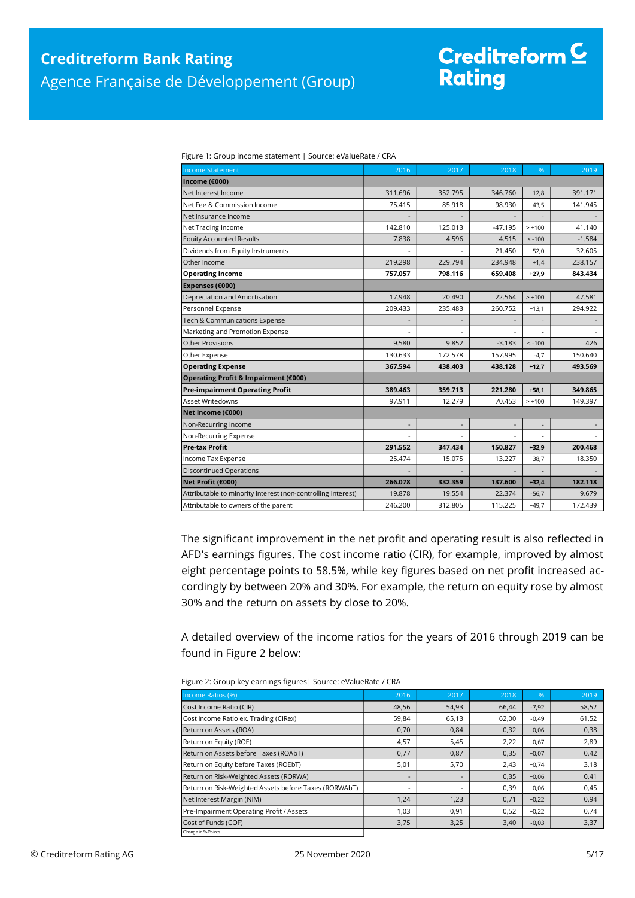# Creditreform  $$ **Rating**

Figure 1: Group income statement | Source: eValueRate / CRA

| <b>Income Statement</b>                                      | 2016                     | 2017    | 2018      | %        | 2019     |
|--------------------------------------------------------------|--------------------------|---------|-----------|----------|----------|
| Income (€000)                                                |                          |         |           |          |          |
| Net Interest Income                                          | 311.696                  | 352.795 | 346.760   | $+12,8$  | 391.171  |
| Net Fee & Commission Income                                  | 75.415                   | 85.918  | 98.930    | $+43,5$  | 141.945  |
| Net Insurance Income                                         |                          |         |           |          |          |
| Net Trading Income                                           | 142.810                  | 125.013 | $-47.195$ | $> +100$ | 41.140   |
| <b>Equity Accounted Results</b>                              | 7.838                    | 4.596   | 4.515     | $< -100$ | $-1.584$ |
| Dividends from Equity Instruments                            |                          |         | 21.450    | $+52,0$  | 32.605   |
| Other Income                                                 | 219.298                  | 229.794 | 234.948   | $+1,4$   | 238.157  |
| <b>Operating Income</b>                                      | 757.057                  | 798.116 | 659.408   | $+27,9$  | 843.434  |
| Expenses (€000)                                              |                          |         |           |          |          |
| Depreciation and Amortisation                                | 17.948                   | 20.490  | 22.564    | $> +100$ | 47.581   |
| Personnel Expense                                            | 209.433                  | 235.483 | 260.752   | $+13,1$  | 294.922  |
| Tech & Communications Expense                                |                          |         |           |          |          |
| Marketing and Promotion Expense                              |                          |         |           |          |          |
| <b>Other Provisions</b>                                      | 9.580                    | 9.852   | $-3.183$  | $< -100$ | 426      |
| Other Expense                                                | 130.633                  | 172.578 | 157.995   | $-4,7$   | 150.640  |
| <b>Operating Expense</b>                                     | 367.594                  | 438.403 | 438.128   | $+12,7$  | 493.569  |
| Operating Profit & Impairment (€000)                         |                          |         |           |          |          |
| <b>Pre-impairment Operating Profit</b>                       | 389.463                  | 359.713 | 221.280   | $+58,1$  | 349.865  |
| <b>Asset Writedowns</b>                                      | 97.911                   | 12.279  | 70.453    | $> +100$ | 149.397  |
| Net Income (€000)                                            |                          |         |           |          |          |
| Non-Recurring Income                                         | $\overline{\phantom{a}}$ |         |           |          |          |
| Non-Recurring Expense                                        |                          |         |           |          |          |
| <b>Pre-tax Profit</b>                                        | 291.552                  | 347.434 | 150.827   | $+32,9$  | 200.468  |
| Income Tax Expense                                           | 25.474                   | 15.075  | 13.227    | $+38,7$  | 18.350   |
| <b>Discontinued Operations</b>                               |                          |         |           |          |          |
| Net Profit (€000)                                            | 266.078                  | 332.359 | 137.600   | $+32,4$  | 182.118  |
| Attributable to minority interest (non-controlling interest) | 19.878                   | 19.554  | 22.374    | $-56,7$  | 9.679    |
| Attributable to owners of the parent                         | 246.200                  | 312.805 | 115.225   | $+49,7$  | 172.439  |

The significant improvement in the net profit and operating result is also reflected in AFD's earnings figures. The cost income ratio (CIR), for example, improved by almost eight percentage points to 58.5%, while key figures based on net profit increased accordingly by between 20% and 30%. For example, the return on equity rose by almost 30% and the return on assets by close to 20%.

A detailed overview of the income ratios for the years of 2016 through 2019 can be found in Figure 2 below:

| Figure 2: Group key earnings figures   Source: eValueRate / CRA |
|-----------------------------------------------------------------|
|                                                                 |

| Income Ratios (%)                                     | 2016                     | 2017  | 2018  | $\frac{9}{6}$ | 2019  |
|-------------------------------------------------------|--------------------------|-------|-------|---------------|-------|
|                                                       |                          |       |       |               |       |
| Cost Income Ratio (CIR)                               | 48,56                    | 54,93 | 66,44 | $-7,92$       | 58,52 |
| Cost Income Ratio ex. Trading (CIRex)                 | 59,84                    | 65,13 | 62,00 | $-0,49$       | 61,52 |
| Return on Assets (ROA)                                | 0,70                     | 0,84  | 0,32  | $+0,06$       | 0,38  |
| Return on Equity (ROE)                                | 4,57                     | 5,45  | 2.22  | $+0.67$       | 2,89  |
| Return on Assets before Taxes (ROAbT)                 | 0,77                     | 0,87  | 0,35  | $+0,07$       | 0,42  |
| Return on Equity before Taxes (ROEbT)                 | 5,01                     | 5,70  | 2,43  | $+0,74$       | 3,18  |
| Return on Risk-Weighted Assets (RORWA)                | $\overline{\phantom{a}}$ |       | 0,35  | $+0,06$       | 0,41  |
| Return on Risk-Weighted Assets before Taxes (RORWAbT) | ٠                        |       | 0,39  | $+0,06$       | 0,45  |
| Net Interest Margin (NIM)                             | 1,24                     | 1,23  | 0,71  | $+0,22$       | 0,94  |
| Pre-Impairment Operating Profit / Assets              | 1,03                     | 0,91  | 0,52  | $+0,22$       | 0,74  |
| Cost of Funds (COF)                                   | 3,75                     | 3,25  | 3,40  | $-0,03$       | 3,37  |
| Change in % Points                                    |                          |       |       |               |       |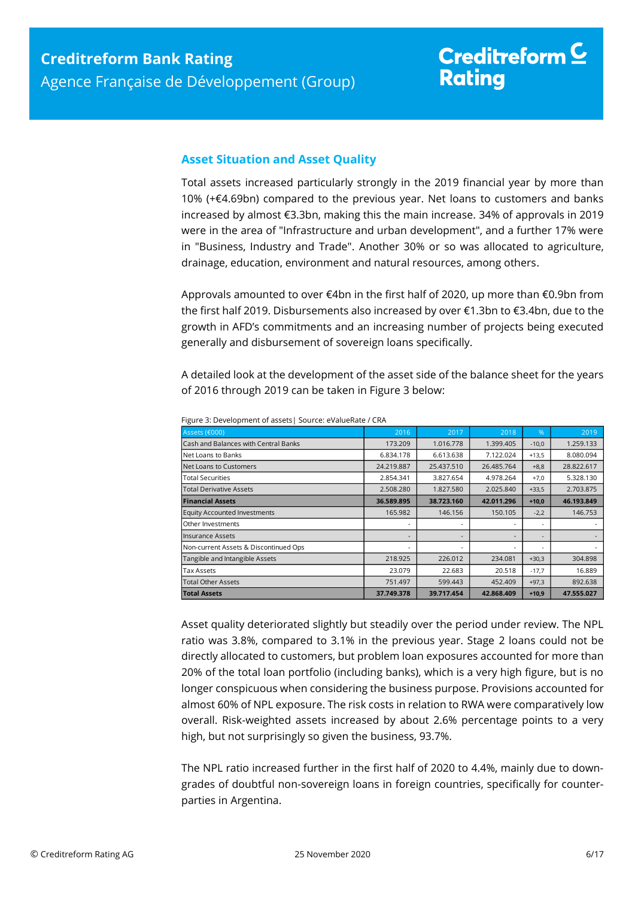### <span id="page-5-0"></span>**Asset Situation and Asset Quality**

Total assets increased particularly strongly in the 2019 financial year by more than 10% (+€4.69bn) compared to the previous year. Net loans to customers and banks increased by almost €3.3bn, making this the main increase. 34% of approvals in 2019 were in the area of "Infrastructure and urban development", and a further 17% were in "Business, Industry and Trade". Another 30% or so was allocated to agriculture, drainage, education, environment and natural resources, among others.

Approvals amounted to over €4bn in the first half of 2020, up more than €0.9bn from the first half 2019. Disbursements also increased by over €1.3bn to €3.4bn, due to the growth in AFD's commitments and an increasing number of projects being executed generally and disbursement of sovereign loans specifically.

A detailed look at the development of the asset side of the balance sheet for the years of 2016 through 2019 can be taken in Figure 3 below:

| Assets (€000)                         | 2016       | 2017       | 2018       | $\frac{9}{6}$            | 2019       |
|---------------------------------------|------------|------------|------------|--------------------------|------------|
| Cash and Balances with Central Banks  | 173.209    | 1.016.778  | 1.399.405  | $-10,0$                  | 1.259.133  |
| Net Loans to Banks                    | 6.834.178  | 6.613.638  | 7.122.024  | $+13,5$                  | 8.080.094  |
| Net Loans to Customers                | 24.219.887 | 25.437.510 | 26.485.764 | $+8,8$                   | 28.822.617 |
| <b>Total Securities</b>               | 2.854.341  | 3.827.654  | 4.978.264  | $+7,0$                   | 5.328.130  |
| <b>Total Derivative Assets</b>        | 2.508.280  | 1.827.580  | 2.025.840  | $+33,5$                  | 2.703.875  |
| <b>Financial Assets</b>               | 36.589.895 | 38.723.160 | 42.011.296 | $+10,0$                  | 46.193.849 |
| <b>Equity Accounted Investments</b>   | 165.982    | 146.156    | 150.105    | $-2,2$                   | 146.753    |
| Other Investments                     |            |            |            | $\overline{\phantom{a}}$ |            |
| <b>Insurance Assets</b>               |            |            |            | $\overline{\phantom{a}}$ |            |
| Non-current Assets & Discontinued Ops |            |            |            | $\overline{\phantom{a}}$ |            |
| Tangible and Intangible Assets        | 218.925    | 226.012    | 234.081    | $+30,3$                  | 304.898    |
| Tax Assets                            | 23.079     | 22.683     | 20.518     | $-17,7$                  | 16.889     |
| <b>Total Other Assets</b>             | 751.497    | 599.443    | 452.409    | $+97,3$                  | 892.638    |
| <b>Total Assets</b>                   | 37.749.378 | 39.717.454 | 42.868.409 | $+10,9$                  | 47.555.027 |

Figure 3: Development of assets| Source: eValueRate / CRA

Asset quality deteriorated slightly but steadily over the period under review. The NPL ratio was 3.8%, compared to 3.1% in the previous year. Stage 2 loans could not be directly allocated to customers, but problem loan exposures accounted for more than 20% of the total loan portfolio (including banks), which is a very high figure, but is no longer conspicuous when considering the business purpose. Provisions accounted for almost 60% of NPL exposure. The risk costs in relation to RWA were comparatively low overall. Risk-weighted assets increased by about 2.6% percentage points to a very high, but not surprisingly so given the business, 93.7%.

The NPL ratio increased further in the first half of 2020 to 4.4%, mainly due to downgrades of doubtful non-sovereign loans in foreign countries, specifically for counterparties in Argentina.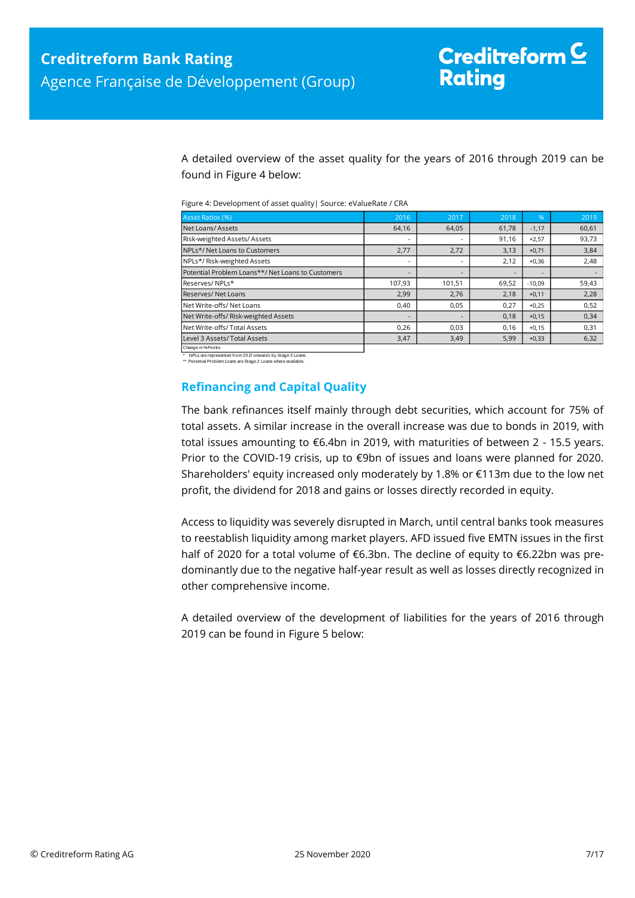A detailed overview of the asset quality for the years of 2016 through 2019 can be found in Figure 4 below:

| Figure 4: Development of asset quality   Source: eValueRate / CRA |  |
|-------------------------------------------------------------------|--|
|-------------------------------------------------------------------|--|

| Asset Ratios (%)                                  | 2016                     | 2017   | 2018  | $\frac{9}{6}$            | 2019  |
|---------------------------------------------------|--------------------------|--------|-------|--------------------------|-------|
| Net Loans/Assets                                  | 64,16                    | 64,05  | 61,78 | $-1,17$                  | 60,61 |
| Risk-weighted Assets/Assets                       | $\overline{\phantom{a}}$ |        | 91,16 | $+2,57$                  | 93,73 |
| NPLs*/Net Loans to Customers                      | 2,77                     | 2,72   | 3,13  | $+0,71$                  | 3,84  |
| NPLs*/ Risk-weighted Assets                       | $\overline{\phantom{a}}$ |        | 2,12  | $+0,36$                  | 2,48  |
| Potential Problem Loans**/ Net Loans to Customers | $\overline{\phantom{a}}$ |        |       | $\overline{\phantom{a}}$ |       |
| Reserves/NPLs*                                    | 107,93                   | 101,51 | 69,52 | $-10.09$                 | 59,43 |
| Reserves/Net Loans                                | 2,99                     | 2,76   | 2,18  | $+0,11$                  | 2,28  |
| Net Write-offs/ Net Loans                         | 0,40                     | 0,05   | 0.27  | $+0.25$                  | 0,52  |
| Net Write-offs/ Risk-weighted Assets              | $\overline{\phantom{a}}$ |        | 0,18  | $+0,15$                  | 0,34  |
| Net Write-offs/ Total Assets                      | 0,26                     | 0,03   | 0.16  | $+0,15$                  | 0,31  |
| Level 3 Assets/ Total Assets                      | 3,47                     | 3,49   | 5,99  | $+0,33$                  | 6,32  |
| Change in % Points                                |                          |        |       |                          |       |

\* NPLs are represented from 2017 onwards by Stage 3 Loans. \*\* Potential Problem Loans are Stage 2 Loans where available.

<span id="page-6-0"></span>

### **Refinancing and Capital Quality**

The bank refinances itself mainly through debt securities, which account for 75% of total assets. A similar increase in the overall increase was due to bonds in 2019, with total issues amounting to €6.4bn in 2019, with maturities of between 2 - 15.5 years. Prior to the COVID-19 crisis, up to €9bn of issues and loans were planned for 2020. Shareholders' equity increased only moderately by 1.8% or €113m due to the low net profit, the dividend for 2018 and gains or losses directly recorded in equity.

Access to liquidity was severely disrupted in March, until central banks took measures to reestablish liquidity among market players. AFD issued five EMTN issues in the first half of 2020 for a total volume of €6.3bn. The decline of equity to €6.22bn was predominantly due to the negative half-year result as well as losses directly recognized in other comprehensive income.

A detailed overview of the development of liabilities for the years of 2016 through 2019 can be found in Figure 5 below: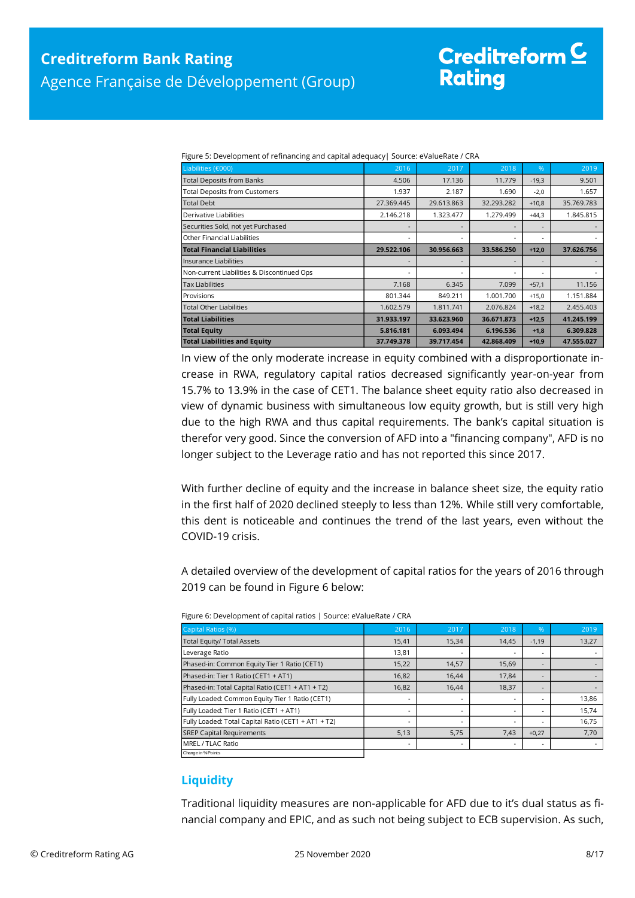| Liabilities (€000)                                                                                                                                                                                                                                                                                                                                                                                                                                                                                                                                                                                                                                                                                                                                                                                                                                                                                                                                                    | 2016                     | 2017       | 2018       | %                        | $\frac{2019}{ }$         |  |
|-----------------------------------------------------------------------------------------------------------------------------------------------------------------------------------------------------------------------------------------------------------------------------------------------------------------------------------------------------------------------------------------------------------------------------------------------------------------------------------------------------------------------------------------------------------------------------------------------------------------------------------------------------------------------------------------------------------------------------------------------------------------------------------------------------------------------------------------------------------------------------------------------------------------------------------------------------------------------|--------------------------|------------|------------|--------------------------|--------------------------|--|
| Total Deposits from Banks                                                                                                                                                                                                                                                                                                                                                                                                                                                                                                                                                                                                                                                                                                                                                                                                                                                                                                                                             | 4.506                    | 17.136     | 11.779     | $-19,3$                  | 9.501                    |  |
| Total Deposits from Customers                                                                                                                                                                                                                                                                                                                                                                                                                                                                                                                                                                                                                                                                                                                                                                                                                                                                                                                                         | 1.937                    | 2.187      | 1.690      | $-2,0$                   | 1.657                    |  |
| <b>Total Debt</b>                                                                                                                                                                                                                                                                                                                                                                                                                                                                                                                                                                                                                                                                                                                                                                                                                                                                                                                                                     | 27.369.445               | 29.613.863 | 32.293.282 | $+10,8$                  | 35.769.783               |  |
| Derivative Liabilities                                                                                                                                                                                                                                                                                                                                                                                                                                                                                                                                                                                                                                                                                                                                                                                                                                                                                                                                                | 2.146.218                | 1.323.477  | 1.279.499  | $+44,3$                  | 1.845.815                |  |
| Securities Sold, not yet Purchased                                                                                                                                                                                                                                                                                                                                                                                                                                                                                                                                                                                                                                                                                                                                                                                                                                                                                                                                    |                          |            |            |                          |                          |  |
| Other Financial Liabilities                                                                                                                                                                                                                                                                                                                                                                                                                                                                                                                                                                                                                                                                                                                                                                                                                                                                                                                                           |                          |            |            |                          |                          |  |
| <b>Total Financial Liabilities</b>                                                                                                                                                                                                                                                                                                                                                                                                                                                                                                                                                                                                                                                                                                                                                                                                                                                                                                                                    | 29.522.106               | 30.956.663 | 33.586.250 | $+12,0$                  | 37.626.756               |  |
| Insurance Liabilities                                                                                                                                                                                                                                                                                                                                                                                                                                                                                                                                                                                                                                                                                                                                                                                                                                                                                                                                                 | $\overline{\phantom{a}}$ |            |            | $\overline{\phantom{a}}$ |                          |  |
| Non-current Liabilities & Discontinued Ops                                                                                                                                                                                                                                                                                                                                                                                                                                                                                                                                                                                                                                                                                                                                                                                                                                                                                                                            |                          |            |            |                          |                          |  |
| Tax Liabilities                                                                                                                                                                                                                                                                                                                                                                                                                                                                                                                                                                                                                                                                                                                                                                                                                                                                                                                                                       | 7.168                    | 6.345      | 7.099      | $+57,1$                  | 11.156                   |  |
| Provisions                                                                                                                                                                                                                                                                                                                                                                                                                                                                                                                                                                                                                                                                                                                                                                                                                                                                                                                                                            | 801.344                  | 849.211    | 1.001.700  | $+15,0$                  | 1.151.884                |  |
| <b>Total Other Liabilities</b>                                                                                                                                                                                                                                                                                                                                                                                                                                                                                                                                                                                                                                                                                                                                                                                                                                                                                                                                        | 1.602.579                | 1.811.741  | 2.076.824  | $+18,2$                  | 2.455.403                |  |
| <b>Total Liabilities</b>                                                                                                                                                                                                                                                                                                                                                                                                                                                                                                                                                                                                                                                                                                                                                                                                                                                                                                                                              | 31.933.197               | 33.623.960 | 36.671.873 | $+12,5$                  | 41.245.199               |  |
| <b>Total Equity</b>                                                                                                                                                                                                                                                                                                                                                                                                                                                                                                                                                                                                                                                                                                                                                                                                                                                                                                                                                   | 5.816.181                | 6.093.494  | 6.196.536  | $+1,8$                   | 6.309.828                |  |
| <b>Total Liabilities and Equity</b>                                                                                                                                                                                                                                                                                                                                                                                                                                                                                                                                                                                                                                                                                                                                                                                                                                                                                                                                   | 37.749.378               | 39.717.454 | 42.868.409 | $+10,9$                  | 47.555.027               |  |
| crease in RWA, regulatory capital ratios decreased significantly year-on-year from<br>15.7% to 13.9% in the case of CET1. The balance sheet equity ratio also decreased in<br>view of dynamic business with simultaneous low equity growth, but is still very high<br>due to the high RWA and thus capital requirements. The bank's capital situation is<br>therefor very good. Since the conversion of AFD into a "financing company", AFD is no<br>longer subject to the Leverage ratio and has not reported this since 2017.<br>With further decline of equity and the increase in balance sheet size, the equity ratio<br>in the first half of 2020 declined steeply to less than 12%. While still very comfortable,<br>this dent is noticeable and continues the trend of the last years, even without the<br>COVID-19 crisis.<br>A detailed overview of the development of capital ratios for the years of 2016 through<br>2019 can be found in Figure 6 below: |                          |            |            |                          |                          |  |
| Figure 6: Development of capital ratios   Source: eValueRate / CRA                                                                                                                                                                                                                                                                                                                                                                                                                                                                                                                                                                                                                                                                                                                                                                                                                                                                                                    |                          |            |            |                          |                          |  |
| Capital Ratios (%)                                                                                                                                                                                                                                                                                                                                                                                                                                                                                                                                                                                                                                                                                                                                                                                                                                                                                                                                                    | 2016                     | 2017       | 2018       | %                        | 2019                     |  |
| <b>Total Equity/ Total Assets</b>                                                                                                                                                                                                                                                                                                                                                                                                                                                                                                                                                                                                                                                                                                                                                                                                                                                                                                                                     | 15,41                    | 15,34      | 14,45      | $-1,19$                  | 13,27                    |  |
| Leverage Ratio                                                                                                                                                                                                                                                                                                                                                                                                                                                                                                                                                                                                                                                                                                                                                                                                                                                                                                                                                        | 13,81                    |            |            |                          | $\sim$                   |  |
| Phased-in: Common Equity Tier 1 Ratio (CET1)                                                                                                                                                                                                                                                                                                                                                                                                                                                                                                                                                                                                                                                                                                                                                                                                                                                                                                                          | 15,22                    | 14,57      | 15,69      | ÷                        | $\blacksquare$           |  |
| Phased-in: Tier 1 Ratio (CET1 + AT1)                                                                                                                                                                                                                                                                                                                                                                                                                                                                                                                                                                                                                                                                                                                                                                                                                                                                                                                                  | 16,82                    | 16,44      | 17,84      |                          | $\overline{\phantom{a}}$ |  |
| Phased-in: Total Capital Ratio (CET1 + AT1 + T2)                                                                                                                                                                                                                                                                                                                                                                                                                                                                                                                                                                                                                                                                                                                                                                                                                                                                                                                      | 16,82                    | 16,44      | 18,37      |                          |                          |  |
| Fully Loaded: Common Equity Tier 1 Ratio (CET1)                                                                                                                                                                                                                                                                                                                                                                                                                                                                                                                                                                                                                                                                                                                                                                                                                                                                                                                       |                          |            |            | ٠                        | 13,86                    |  |
| Fully Loaded: Tier 1 Ratio (CET1 + AT1)                                                                                                                                                                                                                                                                                                                                                                                                                                                                                                                                                                                                                                                                                                                                                                                                                                                                                                                               |                          |            |            |                          | 15,74                    |  |
| Fully Loaded: Total Capital Ratio (CET1 + AT1 + T2)                                                                                                                                                                                                                                                                                                                                                                                                                                                                                                                                                                                                                                                                                                                                                                                                                                                                                                                   |                          |            |            |                          | 16,75                    |  |
| <b>SREP Capital Requirements</b>                                                                                                                                                                                                                                                                                                                                                                                                                                                                                                                                                                                                                                                                                                                                                                                                                                                                                                                                      | 5,13                     | 5,75       | 7,43       | $+0,27$                  | 7,70                     |  |
| MREL / TLAC Ratio                                                                                                                                                                                                                                                                                                                                                                                                                                                                                                                                                                                                                                                                                                                                                                                                                                                                                                                                                     |                          |            |            |                          |                          |  |
| Change in % Points<br><b>Liquidity</b><br>Traditional liquidity measures are non-applicable for AFD due to it's dual status as fi-                                                                                                                                                                                                                                                                                                                                                                                                                                                                                                                                                                                                                                                                                                                                                                                                                                    |                          |            |            |                          |                          |  |
| nancial company and EPIC, and as such not being subject to ECB supervision. As such,                                                                                                                                                                                                                                                                                                                                                                                                                                                                                                                                                                                                                                                                                                                                                                                                                                                                                  |                          |            |            |                          |                          |  |

Figure 5: Development of refinancing and capital adequacy| Source: eValueRate / CRA

| Capital Ratios (%)                                  | 2016                     | 2017  | 2018  | %       | 2019  |
|-----------------------------------------------------|--------------------------|-------|-------|---------|-------|
| <b>Total Equity/ Total Assets</b>                   | 15,41                    | 15,34 | 14,45 | $-1,19$ | 13,27 |
| Leverage Ratio                                      | 13,81                    |       |       | ٠.      |       |
| Phased-in: Common Equity Tier 1 Ratio (CET1)        | 15,22                    | 14,57 | 15,69 | $\sim$  |       |
| Phased-in: Tier 1 Ratio (CET1 + AT1)                | 16,82                    | 16,44 | 17,84 | ٠       |       |
| Phased-in: Total Capital Ratio (CET1 + AT1 + T2)    | 16,82                    | 16,44 | 18,37 |         |       |
| Fully Loaded: Common Equity Tier 1 Ratio (CET1)     | $\overline{\phantom{a}}$ |       |       | ٠       | 13,86 |
| Fully Loaded: Tier 1 Ratio (CET1 + AT1)             | $\overline{\phantom{a}}$ |       |       | ٠.      | 15,74 |
| Fully Loaded: Total Capital Ratio (CET1 + AT1 + T2) | $\overline{\phantom{a}}$ |       |       | $\sim$  | 16,75 |
| <b>SREP Capital Requirements</b>                    | 5,13                     | 5,75  | 7,43  | $+0,27$ | 7,70  |
| MREL / TLAC Ratio                                   | $\overline{\phantom{a}}$ |       |       | $\sim$  |       |
| Change in % Points                                  |                          |       |       |         |       |

Figure 6: Development of capital ratios | Source: eValueRate / CRA

### <span id="page-7-0"></span>**Liquidity**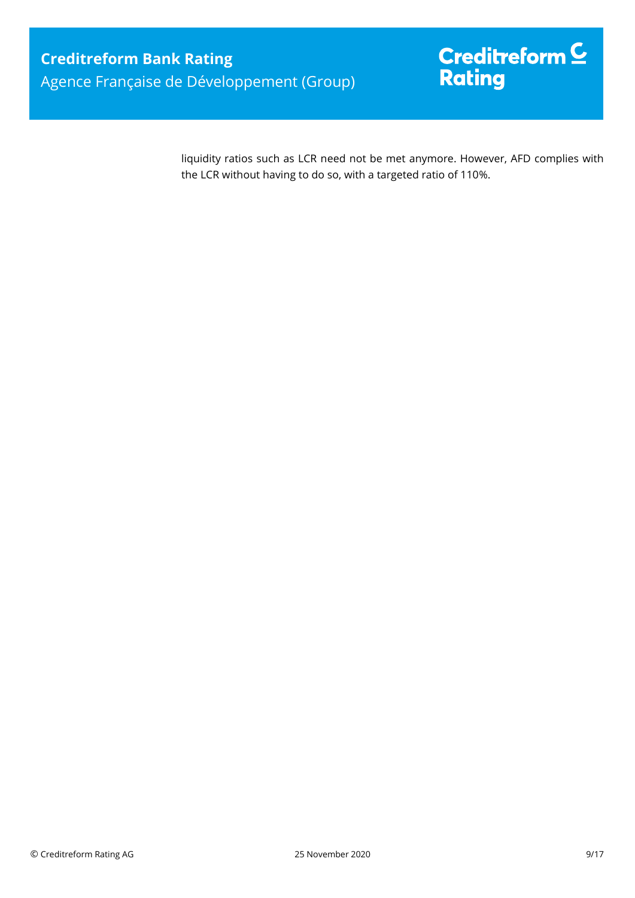# $\mathsf{Credit}$ reform $\mathsf{\underline{C}}$ Rating

liquidity ratios such as LCR need not be met anymore. However, AFD complies with the LCR without having to do so, with a targeted ratio of 110%.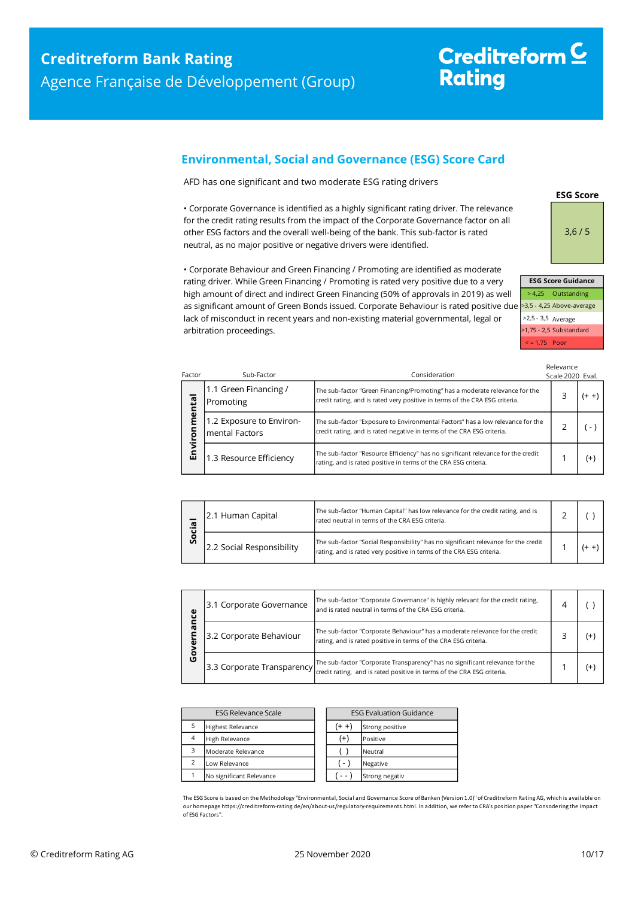# Creditreform<sup>C</sup> **Rating**

### <span id="page-9-0"></span>**Environmental, Social and Governance (ESG) Score Card**

AFD has one significant and two moderate ESG rating drivers

• Corporate Governance is identified as a highly significant rating driver. The relevance for the credit rating results from the impact of the Corporate Governance factor on all other ESG factors and the overall well-being of the bank. This sub-factor is rated neutral, as no major positive or negative drivers were identified.

> > 4,25 Outstanding >3,5 - 4,25 Above-average >2,5 - 3,5 Average >1,75 - 2,5 Substandard < = 1,75 Poor **ESG Score Guidance**

**ESG Score**

3,6 / 5

• Corporate Behaviour and Green Financing / Promoting are identified as moderate rating driver. While Green Financing / Promoting is rated very positive due to a very high amount of direct and indirect Green Financing (50% of approvals in 2019) as well as significant amount of Green Bonds issued. Corporate Behaviour is rated positive due lack of misconduct in recent years and non-existing material governmental, legal or arbitration proceedings.

| Factor | Sub-Factor                                 | Consideration                                                                                                                                              | Relevance<br>Scale 2020 Eval. |                          |
|--------|--------------------------------------------|------------------------------------------------------------------------------------------------------------------------------------------------------------|-------------------------------|--------------------------|
| ental  | 1.1 Green Financing /<br>Promoting         | The sub-factor "Green Financing/Promoting" has a moderate relevance for the<br>credit rating, and is rated very positive in terms of the CRA ESG criteria. |                               | $(+ +)$                  |
| Ĕ<br>ō | 1.2 Exposure to Environ-<br>mental Factors | The sub-factor "Exposure to Environmental Factors" has a low relevance for the<br>credit rating, and is rated negative in terms of the CRA ESG criteria.   |                               | $\overline{\phantom{a}}$ |
| Envil  | 1.3 Resource Efficiency                    | The sub-factor "Resource Efficiency" has no significant relevance for the credit<br>rating, and is rated positive in terms of the CRA ESG criteria.        |                               | $^{(+)}$                 |

| <b>r</b> | 2.1 Human Capital         | The sub-factor "Human Capital" has low relevance for the credit rating, and is<br>rated neutral in terms of the CRA ESG criteria.                          |  |  |
|----------|---------------------------|------------------------------------------------------------------------------------------------------------------------------------------------------------|--|--|
| Ū        | 2.2 Social Responsibility | The sub-factor "Social Responsibility" has no significant relevance for the credit<br>rating, and is rated very positive in terms of the CRA ESG criteria. |  |  |

| ပ္ပ<br>ᠭᢐ<br>O | 3.1 Corporate Governance | The sub-factor "Corporate Governance" is highly relevant for the credit rating,<br>and is rated neutral in terms of the CRA ESG criteria.                                          |  |
|----------------|--------------------------|------------------------------------------------------------------------------------------------------------------------------------------------------------------------------------|--|
|                | 3.2 Corporate Behaviour  | The sub-factor "Corporate Behaviour" has a moderate relevance for the credit<br>rating, and is rated positive in terms of the CRA ESG criteria.                                    |  |
|                |                          | The sub-factor "Corporate Transparency" has no significant relevance for the<br>[3.3 Corporate Transparency credit rating, and is rated positive in terms of the CRA ESG criteria. |  |

| <b>ESG Relevance Scale</b> |                          | <b>ESG Evaluation Guidance</b> |                 |
|----------------------------|--------------------------|--------------------------------|-----------------|
| 5                          | <b>Highest Relevance</b> | $(+ +)$                        | Strong positive |
| $\overline{4}$             | High Relevance           | $^{(+)}$                       | Positive        |
| 3                          | Moderate Relevance       |                                | Neutral         |
| $\overline{2}$             | Low Relevance            | $\mathcal{L}$                  | Negative        |
|                            | No significant Relevance |                                | Strong negativ  |

The ESG Score is based on the Methodology "Environmental, Social and Governance Score of Banken (Version 1.0)" of Creditreform Rating AG, which is available on our homepage https://creditreform-rating.de/en/about-us/regulatory-requirements.html. In addition, we refer to CRA's position paper "Consodering the Impact of ESG Factors".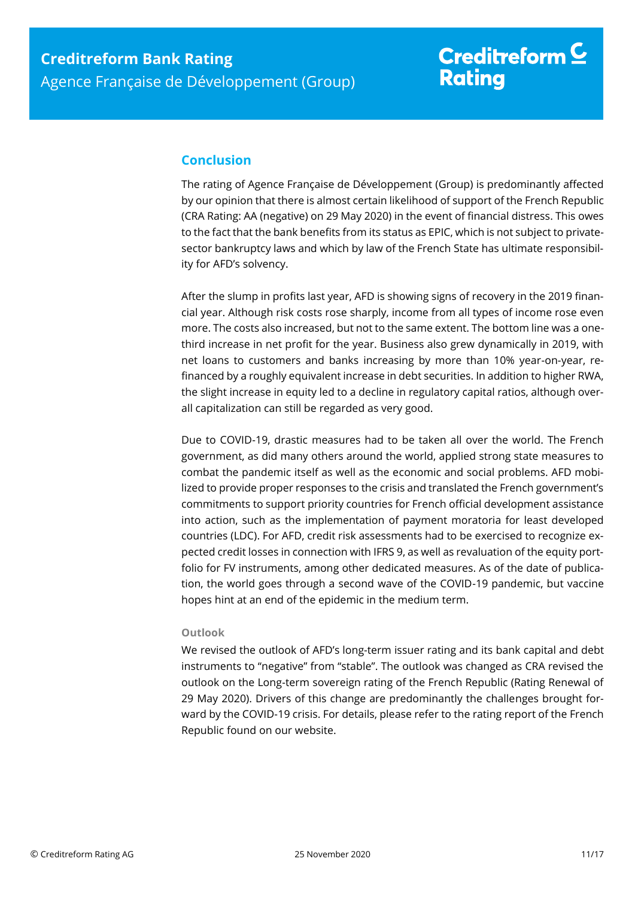# Creditreform  $\underline{\mathsf{C}}$ **Rating**

### <span id="page-10-0"></span>**Conclusion**

The rating of Agence Française de Développement (Group) is predominantly affected by our opinion that there is almost certain likelihood of support of the French Republic (CRA Rating: AA (negative) on 29 May 2020) in the event of financial distress. This owes to the fact that the bank benefits from its status as EPIC, which is not subject to privatesector bankruptcy laws and which by law of the French State has ultimate responsibility for AFD's solvency.

After the slump in profits last year, AFD is showing signs of recovery in the 2019 financial year. Although risk costs rose sharply, income from all types of income rose even more. The costs also increased, but not to the same extent. The bottom line was a onethird increase in net profit for the year. Business also grew dynamically in 2019, with net loans to customers and banks increasing by more than 10% year-on-year, refinanced by a roughly equivalent increase in debt securities. In addition to higher RWA, the slight increase in equity led to a decline in regulatory capital ratios, although overall capitalization can still be regarded as very good.

Due to COVID-19, drastic measures had to be taken all over the world. The French government, as did many others around the world, applied strong state measures to combat the pandemic itself as well as the economic and social problems. AFD mobilized to provide proper responses to the crisis and translated the French government's commitments to support priority countries for French official development assistance into action, such as the implementation of payment moratoria for least developed countries (LDC). For AFD, credit risk assessments had to be exercised to recognize expected credit losses in connection with IFRS 9, as well as revaluation of the equity portfolio for FV instruments, among other dedicated measures. As of the date of publication, the world goes through a second wave of the COVID-19 pandemic, but vaccine hopes hint at an end of the epidemic in the medium term.

### **Outlook**

We revised the outlook of AFD's long-term issuer rating and its bank capital and debt instruments to "negative" from "stable". The outlook was changed as CRA revised the outlook on the Long-term sovereign rating of the French Republic (Rating Renewal of 29 May 2020). Drivers of this change are predominantly the challenges brought forward by the COVID-19 crisis. For details, please refer to the rating report of the French Republic found on our website.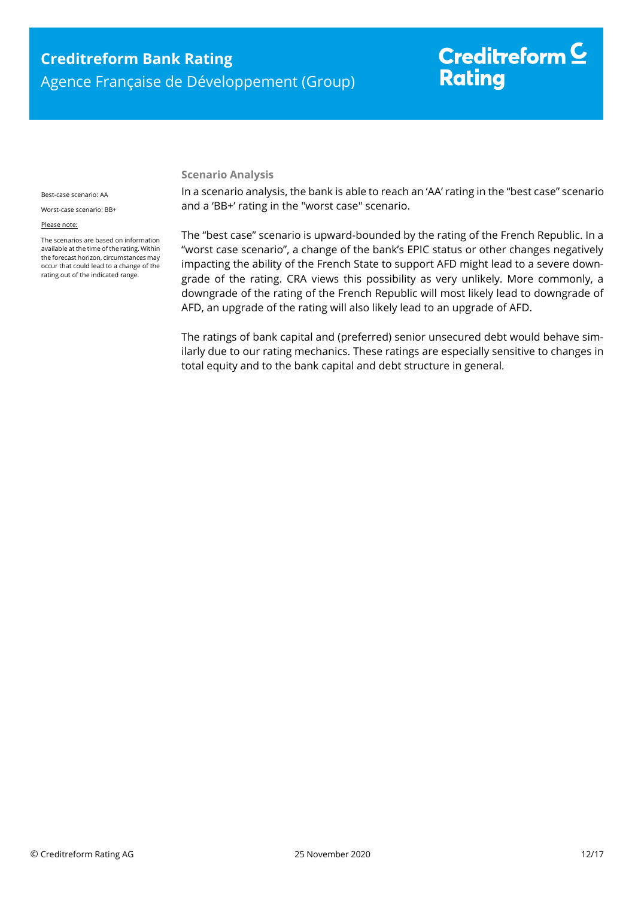# Creditreform  $\subseteq$ **Rating**

#### **Scenario Analysis**

Best-case scenario: AA

Worst-case scenario: BB+

#### Please note:

The scenarios are based on information available at the time of the rating. Within the forecast horizon, circumstances may occur that could lead to a change of the rating out of the indicated range.

In a scenario analysis, the bank is able to reach an 'AA' rating in the "best case" scenario and a 'BB+' rating in the "worst case" scenario.

The "best case" scenario is upward-bounded by the rating of the French Republic. In a "worst case scenario", a change of the bank's EPIC status or other changes negatively impacting the ability of the French State to support AFD might lead to a severe downgrade of the rating. CRA views this possibility as very unlikely. More commonly, a downgrade of the rating of the French Republic will most likely lead to downgrade of AFD, an upgrade of the rating will also likely lead to an upgrade of AFD.

The ratings of bank capital and (preferred) senior unsecured debt would behave similarly due to our rating mechanics. These ratings are especially sensitive to changes in total equity and to the bank capital and debt structure in general*.*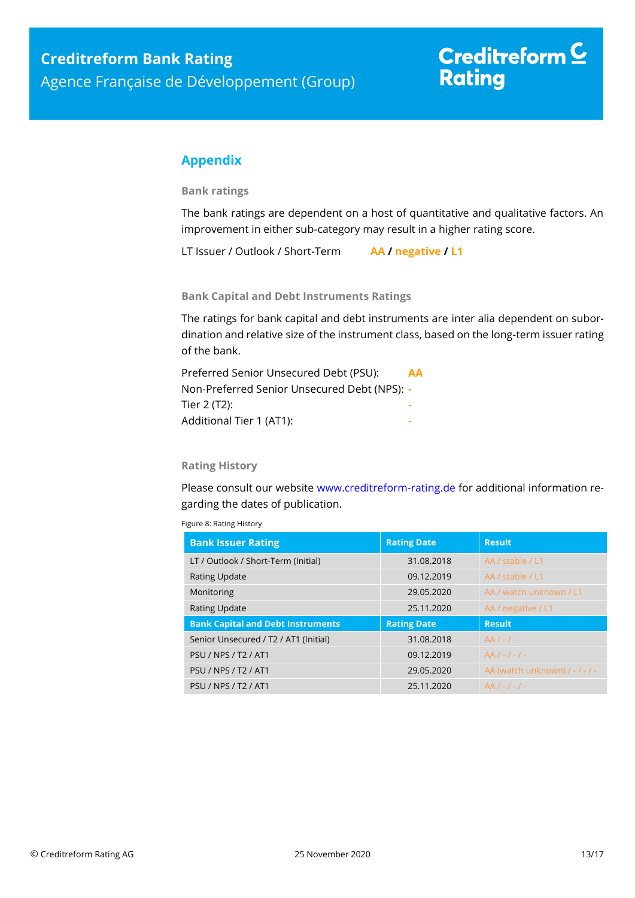### <span id="page-12-0"></span>**Appendix**

**Bank ratings**

The bank ratings are dependent on a host of quantitative and qualitative factors. An improvement in either sub-category may result in a higher rating score.

LT Issuer / Outlook / Short-Term **AA / negative / L1**

**Bank Capital and Debt Instruments Ratings**

The ratings for bank capital and debt instruments are inter alia dependent on subordination and relative size of the instrument class, based on the long-term issuer rating of the bank.

| Preferred Senior Unsecured Debt (PSU):       | AA |
|----------------------------------------------|----|
| Non-Preferred Senior Unsecured Debt (NPS): - |    |
| Tier 2 (T2):                                 |    |
| Additional Tier 1 (AT1):                     |    |
|                                              |    |

### **Rating History**

Please consult our website [www.creditreform-rating.de](http://www.creditreform-rating.de/) for additional information regarding the dates of publication.

| <b>Bank Issuer Rating</b>                | <b>Rating Date</b> | <b>Result</b>                  |
|------------------------------------------|--------------------|--------------------------------|
| LT / Outlook / Short-Term (Initial)      | 31.08.2018         | AA / stable / L1               |
| <b>Rating Update</b>                     | 09.12.2019         | AA / stable / L1               |
| Monitoring                               | 29.05.2020         | AA / watch unknown / L1        |
| <b>Rating Update</b>                     | 25.11.2020         | AA / negative / L1             |
| <b>Bank Capital and Debt Instruments</b> | <b>Rating Date</b> | <b>Result</b>                  |
| Senior Unsecured / T2 / AT1 (Initial)    | 31.08.2018         | $AA/-/-$                       |
| <b>PSU / NPS / T2 / AT1</b>              | 09.12.2019         | $AA/-/-/ -$                    |
| <b>PSU / NPS / T2 / AT1</b>              | 29.05.2020         | AA (watch unknown) / - / - / - |
| <b>PSU / NPS / T2 / AT1</b>              | 25.11.2020         | $AA/-/-/ -$                    |

Figure 8: Rating History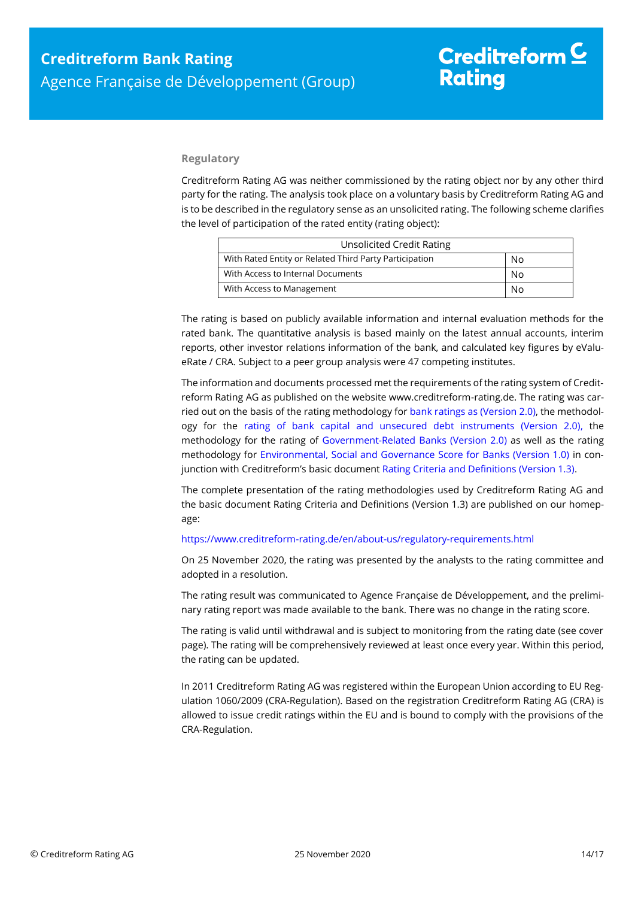#### **Regulatory**

Creditreform Rating AG was neither commissioned by the rating object nor by any other third party for the rating. The analysis took place on a voluntary basis by Creditreform Rating AG and is to be described in the regulatory sense as an unsolicited rating. The following scheme clarifies the level of participation of the rated entity (rating object):

| <b>Unsolicited Credit Rating</b>                       |    |
|--------------------------------------------------------|----|
| With Rated Entity or Related Third Party Participation | No |
| With Access to Internal Documents                      | No |
| With Access to Management                              | No |

The rating is based on publicly available information and internal evaluation methods for the rated bank. The quantitative analysis is based mainly on the latest annual accounts, interim reports, other investor relations information of the bank, and calculated key figures by eValueRate / CRA. Subject to a peer group analysis were 47 competing institutes.

The information and documents processed met the requirements of the rating system of Creditreform Rating AG as published on the website www.creditreform-rating.de. The rating was carried out on the basis of the rating methodology fo[r bank ratings as \(Version 2.0\),](https://www.creditreform-rating.de/en/about-us/regulatory-requirements.html?file=files/content/downloads/Externes%20Rating/Regulatorische%20Anforderungen/EN/Ratingmethodiken%20EN/Rating%20Methodology%20Bank%20Ratings%20v2.0.pdf) the methodology for the [rating of bank capital and unsecured debt instruments \(Version 2.0\),](https://www.creditreform-rating.de/en/about-us/regulatory-requirements.html?file=files/content/downloads/Externes%20Rating/Regulatorische%20Anforderungen/EN/Ratingmethodiken%20EN/Bank%20Capital%20and%20Unsecured%20Debt%20Instruments%20Methodology.pdf) the methodology for the rating of [Government-Related Banks \(Version 2.0\)](https://www.creditreform-rating.de/en/about-us/regulatory-requirements.html?file=files/content/downloads/Externes%20Rating/Regulatorische%20Anforderungen/EN/Ratingmethodiken%20EN/Sub-Methodology%20-%20Government-Related%20Banks.pdf) as well as the rating methodology for [Environmental, Social and Governance Score for Banks \(Version 1.0\)](https://www.creditreform-rating.de/en/about-us/regulatory-requirements.html?file=files/content/downloads/Externes%20Rating/Regulatorische%20Anforderungen/EN/Ratingmethodiken%20EN/Rating%20Methodology%20ESG%20v1.0.pdf) in conjunction with Creditreform's basic documen[t Rating Criteria and Definitions \(Version 1.3\).](https://www.creditreform-rating.de/en/about-us/regulatory-requirements.html?file=files/content/downloads/Externes%20Rating/Regulatorische%20Anforderungen/EN/Ratingmethodiken%20EN/CRAG%20Rating%20Criteria%20and%20Definitions.pdf)

The complete presentation of the rating methodologies used by Creditreform Rating AG and the basic document Rating Criteria and Definitions (Version 1.3) are published on our homepage:

#### <https://www.creditreform-rating.de/en/about-us/regulatory-requirements.html>

On 25 November 2020, the rating was presented by the analysts to the rating committee and adopted in a resolution.

The rating result was communicated to Agence Française de Développement, and the preliminary rating report was made available to the bank. There was no change in the rating score.

The rating is valid until withdrawal and is subject to monitoring from the rating date (see cover page). The rating will be comprehensively reviewed at least once every year. Within this period, the rating can be updated.

In 2011 Creditreform Rating AG was registered within the European Union according to EU Regulation 1060/2009 (CRA-Regulation). Based on the registration Creditreform Rating AG (CRA) is allowed to issue credit ratings within the EU and is bound to comply with the provisions of the CRA-Regulation.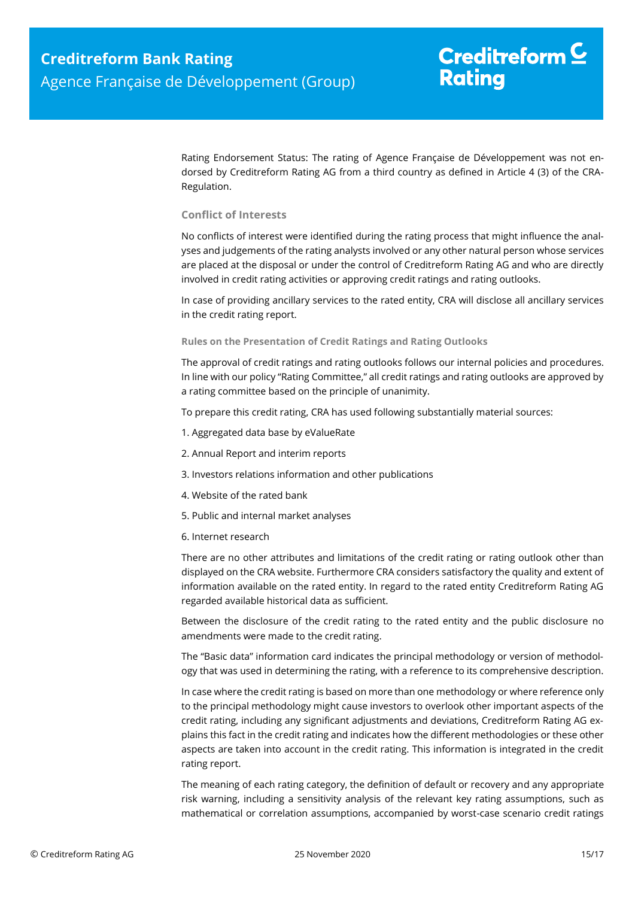Rating Endorsement Status: The rating of Agence Française de Développement was not endorsed by Creditreform Rating AG from a third country as defined in Article 4 (3) of the CRA-Regulation.

#### **Conflict of Interests**

No conflicts of interest were identified during the rating process that might influence the analyses and judgements of the rating analysts involved or any other natural person whose services are placed at the disposal or under the control of Creditreform Rating AG and who are directly involved in credit rating activities or approving credit ratings and rating outlooks.

In case of providing ancillary services to the rated entity, CRA will disclose all ancillary services in the credit rating report.

#### **Rules on the Presentation of Credit Ratings and Rating Outlooks**

The approval of credit ratings and rating outlooks follows our internal policies and procedures. In line with our policy "Rating Committee," all credit ratings and rating outlooks are approved by a rating committee based on the principle of unanimity.

To prepare this credit rating, CRA has used following substantially material sources:

- 1. Aggregated data base by eValueRate
- 2. Annual Report and interim reports
- 3. Investors relations information and other publications
- 4. Website of the rated bank
- 5. Public and internal market analyses
- 6. Internet research

There are no other attributes and limitations of the credit rating or rating outlook other than displayed on the CRA website. Furthermore CRA considers satisfactory the quality and extent of information available on the rated entity. In regard to the rated entity Creditreform Rating AG regarded available historical data as sufficient.

Between the disclosure of the credit rating to the rated entity and the public disclosure no amendments were made to the credit rating.

The "Basic data" information card indicates the principal methodology or version of methodology that was used in determining the rating, with a reference to its comprehensive description.

In case where the credit rating is based on more than one methodology or where reference only to the principal methodology might cause investors to overlook other important aspects of the credit rating, including any significant adjustments and deviations, Creditreform Rating AG explains this fact in the credit rating and indicates how the different methodologies or these other aspects are taken into account in the credit rating. This information is integrated in the credit rating report.

The meaning of each rating category, the definition of default or recovery and any appropriate risk warning, including a sensitivity analysis of the relevant key rating assumptions, such as mathematical or correlation assumptions, accompanied by worst-case scenario credit ratings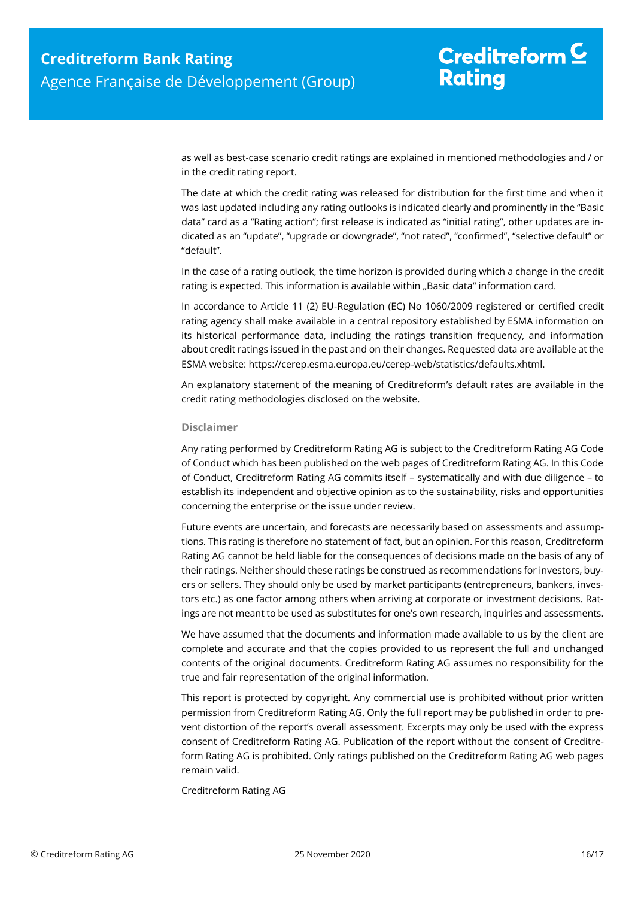## Creditreform  $C$ **Rating**

as well as best-case scenario credit ratings are explained in mentioned methodologies and / or in the credit rating report.

The date at which the credit rating was released for distribution for the first time and when it was last updated including any rating outlooks is indicated clearly and prominently in the "Basic data" card as a "Rating action"; first release is indicated as "initial rating", other updates are indicated as an "update", "upgrade or downgrade", "not rated", "confirmed", "selective default" or "default".

In the case of a rating outlook, the time horizon is provided during which a change in the credit rating is expected. This information is available within "Basic data" information card.

In accordance to Article 11 (2) EU-Regulation (EC) No 1060/2009 registered or certified credit rating agency shall make available in a central repository established by ESMA information on its historical performance data, including the ratings transition frequency, and information about credit ratings issued in the past and on their changes. Requested data are available at the ESMA website: https://cerep.esma.europa.eu/cerep-web/statistics/defaults.xhtml.

An explanatory statement of the meaning of Creditreform's default rates are available in the credit rating methodologies disclosed on the website.

#### **Disclaimer**

Any rating performed by Creditreform Rating AG is subject to the Creditreform Rating AG Code of Conduct which has been published on the web pages of Creditreform Rating AG. In this Code of Conduct, Creditreform Rating AG commits itself – systematically and with due diligence – to establish its independent and objective opinion as to the sustainability, risks and opportunities concerning the enterprise or the issue under review.

Future events are uncertain, and forecasts are necessarily based on assessments and assumptions. This rating is therefore no statement of fact, but an opinion. For this reason, Creditreform Rating AG cannot be held liable for the consequences of decisions made on the basis of any of their ratings. Neither should these ratings be construed as recommendations for investors, buyers or sellers. They should only be used by market participants (entrepreneurs, bankers, investors etc.) as one factor among others when arriving at corporate or investment decisions. Ratings are not meant to be used as substitutes for one's own research, inquiries and assessments.

We have assumed that the documents and information made available to us by the client are complete and accurate and that the copies provided to us represent the full and unchanged contents of the original documents. Creditreform Rating AG assumes no responsibility for the true and fair representation of the original information.

This report is protected by copyright. Any commercial use is prohibited without prior written permission from Creditreform Rating AG. Only the full report may be published in order to prevent distortion of the report's overall assessment. Excerpts may only be used with the express consent of Creditreform Rating AG. Publication of the report without the consent of Creditreform Rating AG is prohibited. Only ratings published on the Creditreform Rating AG web pages remain valid.

Creditreform Rating AG